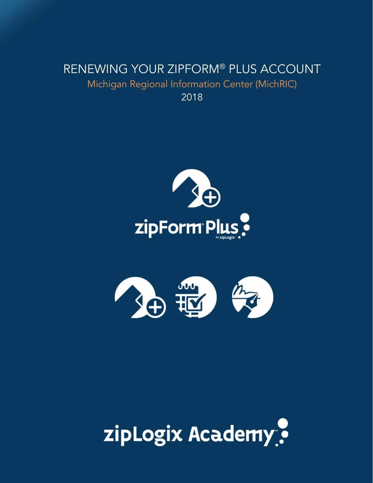## RENEWING YOUR ZIPFORM® PLUS ACCOUNT Michigan Regional Information Center (MichRIC) 2018





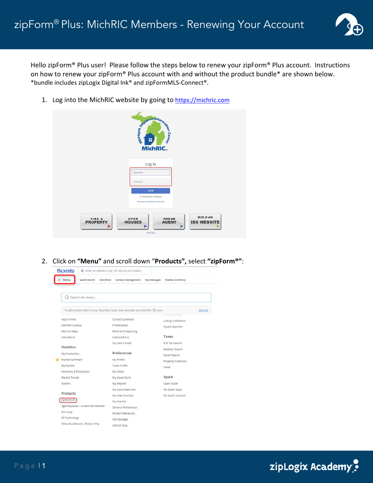

Hello zipForm® Plus user! Please follow the steps below to renew your zipForm® Plus account. Instructions on how to renew your zipForm® Plus account with and without the product bundle\* are shown below. \*bundle includes zipLogix Digital Ink® and zipFormMLS-Connect®.

1. Log into the MichRIC website by going to [https://michric.com](https://michric.com/)

|                    | <b>Regional Intomnet</b>                                                                  |
|--------------------|-------------------------------------------------------------------------------------------|
|                    | <b>MichRIC.</b>                                                                           |
|                    | Log In                                                                                    |
|                    | Lisemame<br>Password                                                                      |
|                    | 1.0G M<br><b>El Remember Usemame</b>                                                      |
|                    | Password not working? Click here                                                          |
| FIND A<br>PROPERTY | <b>BUILD AN</b><br><b>FIND AN</b><br>OPEN<br>HOUSES<br><b>IDX WEBSITE</b><br><b>AGENT</b> |

2. Click on **"Menu"** and scroll down "**Products",** select **"zipForm®"**:



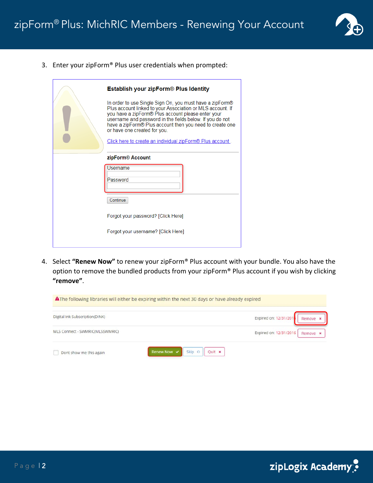

3. Enter your zipForm® Plus user credentials when prompted:

| Establish your zipForm® Plus Identity                                                                                                                                                                                                                                                                                                |  |  |  |  |  |  |  |
|--------------------------------------------------------------------------------------------------------------------------------------------------------------------------------------------------------------------------------------------------------------------------------------------------------------------------------------|--|--|--|--|--|--|--|
| In order to use Single Sign On, you must have a zipForm®<br>Plus account linked to your Association or MLS account. If<br>you have a zipForm® Plus account please enter your<br>username and password in the fields below. If you do not<br>have a zipForm® Plus account then you need to create one<br>or have one created for you. |  |  |  |  |  |  |  |
| Click here to create an individual zipForm <sup>®</sup> Plus account.                                                                                                                                                                                                                                                                |  |  |  |  |  |  |  |
| zipForm <sup>®</sup> Account                                                                                                                                                                                                                                                                                                         |  |  |  |  |  |  |  |
| Username                                                                                                                                                                                                                                                                                                                             |  |  |  |  |  |  |  |
| Password                                                                                                                                                                                                                                                                                                                             |  |  |  |  |  |  |  |
| Continue                                                                                                                                                                                                                                                                                                                             |  |  |  |  |  |  |  |
| Forgot your password? [Click Here]                                                                                                                                                                                                                                                                                                   |  |  |  |  |  |  |  |
| Forgot your username? [Click Here]                                                                                                                                                                                                                                                                                                   |  |  |  |  |  |  |  |
|                                                                                                                                                                                                                                                                                                                                      |  |  |  |  |  |  |  |

4. Select **"Renew Now"** to renew your zipForm® Plus account with your bundle. You also have the option to remove the bundled products from your zipForm® Plus account if you wish by clicking **"remove"**.



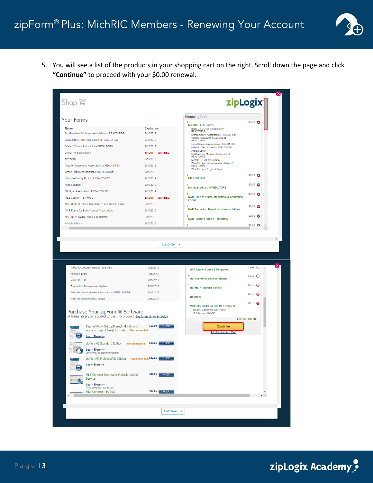

5. You will see a list of the products in your shopping cart on the right. Scroll down the page and click **"Continue"** to proceed with your \$0.00 renewal.



zipLogix Academy?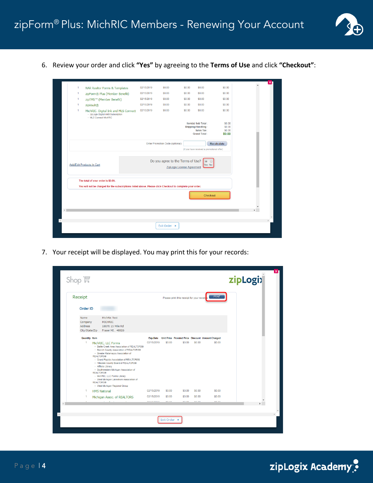

6. Review your order and click **"Yes"** by agreeing to the **Terms of Use** and click **"Checkout"**:

| 1 | NAR Realtor Forms & Templates                                                                                                                   | 02/15/2019 | \$0.00                                                                                      | \$0.00 | \$0.00                                                                        | \$0.00                               |  |  |  |  |
|---|-------------------------------------------------------------------------------------------------------------------------------------------------|------------|---------------------------------------------------------------------------------------------|--------|-------------------------------------------------------------------------------|--------------------------------------|--|--|--|--|
| 1 | zipForm® Plus (Member Benefit)                                                                                                                  | 02/15/2019 | \$0.00                                                                                      | \$0.00 | \$0.00                                                                        | \$0.00                               |  |  |  |  |
| 1 | zipTMS™ (Member Benefit)                                                                                                                        | 02/15/2019 | \$0.00                                                                                      | \$0.00 | \$0.00                                                                        | \$0.00                               |  |  |  |  |
| 1 | zipVault®                                                                                                                                       | 02/15/2019 | \$0.00                                                                                      | \$0.00 | \$0.00                                                                        | \$0.00                               |  |  |  |  |
| 1 | MichRIC- Digital Ink and MLS Connect<br>- zipLogix Digital Ink® Subscription<br>- MLS Connect MichRIC                                           | 02/15/2019 | \$0.00                                                                                      | \$0.00 | \$0.00                                                                        | \$0.00                               |  |  |  |  |
|   |                                                                                                                                                 |            |                                                                                             |        | Item(s) Sub Total:<br>Shipping/Handling:<br>Sales Tax:<br><b>Grand Total:</b> | \$0.00<br>\$0.00<br>\$0.00<br>\$0.00 |  |  |  |  |
|   |                                                                                                                                                 |            | Enter Promotion Code (optional)                                                             |        | (if you have received a promotional offer)                                    | Recalculate                          |  |  |  |  |
|   | Add/Edit Products In Cart                                                                                                                       |            | Do you agree to the Terms of Use?<br>$\circledcirc$<br>Yes No<br>ZipLogix License Agreement |        |                                                                               |                                      |  |  |  |  |
|   | The total of your order is \$0.00.<br>You will not be charged for the subscriptions listed above. Please click Checkout to complete your order. |            |                                                                                             |        |                                                                               |                                      |  |  |  |  |
|   |                                                                                                                                                 |            |                                                                                             |        | <b>Checkout</b>                                                               |                                      |  |  |  |  |
|   |                                                                                                                                                 |            |                                                                                             |        |                                                                               |                                      |  |  |  |  |
|   |                                                                                                                                                 |            |                                                                                             |        |                                                                               |                                      |  |  |  |  |
|   |                                                                                                                                                 |            | Exit Order x                                                                                |        |                                                                               |                                      |  |  |  |  |
|   |                                                                                                                                                 |            |                                                                                             |        |                                                                               |                                      |  |  |  |  |

7. Your receipt will be displayed. You may print this for your records:

| Receipt                                      |                                                                                                                                                                                                                                                                                                                                                                                                                                                                                     |            |        | Please print this receipt for your records |        | PRINT                                                      |  |
|----------------------------------------------|-------------------------------------------------------------------------------------------------------------------------------------------------------------------------------------------------------------------------------------------------------------------------------------------------------------------------------------------------------------------------------------------------------------------------------------------------------------------------------------|------------|--------|--------------------------------------------|--------|------------------------------------------------------------|--|
| Order ID:                                    |                                                                                                                                                                                                                                                                                                                                                                                                                                                                                     |            |        |                                            |        |                                                            |  |
| Name<br>Company<br>Address<br>City/State/Zip | <b>MichRic Test</b><br><b>MICHRIC</b><br>18070 15 Mile Rd<br>Fraser MI, 48026                                                                                                                                                                                                                                                                                                                                                                                                       |            |        |                                            |        |                                                            |  |
| Quantity Item                                |                                                                                                                                                                                                                                                                                                                                                                                                                                                                                     |            |        |                                            |        | Exp.Date Unit Price Prorated Price Discount Amount Charged |  |
| 1                                            | MichRIC, LLC Forms<br>- Battle Creek Area Association of REALTORS®<br>- Branch County Association of REALTORS®<br>- Greater Kalamazoo Association of<br><b>REALTORS®</b><br>- Grand Rapids Association of REALTORS®<br>- Hillsdale County Board of REALTORS®<br>- Affiliate Library<br>- Southwestern Michigan Association of<br><b>REALTORS®</b><br>- MichRIC, LLC Forms Library<br>- West Michigan Lakeshore Association of<br><b>REALTORS®</b><br>- West Michigan Regional Group | 02/15/2019 | \$0.00 | \$0.00                                     | \$0.00 | \$0.00                                                     |  |
| 1                                            | <b>HMS National</b>                                                                                                                                                                                                                                                                                                                                                                                                                                                                 | 02/15/2019 | \$0.00 | \$0.00                                     | \$0.00 | \$0.00                                                     |  |
|                                              | Michigan Assoc. of REALTORS                                                                                                                                                                                                                                                                                                                                                                                                                                                         | 02/15/2019 | \$0.00 | \$0.00                                     | \$0.00 | \$0.00                                                     |  |